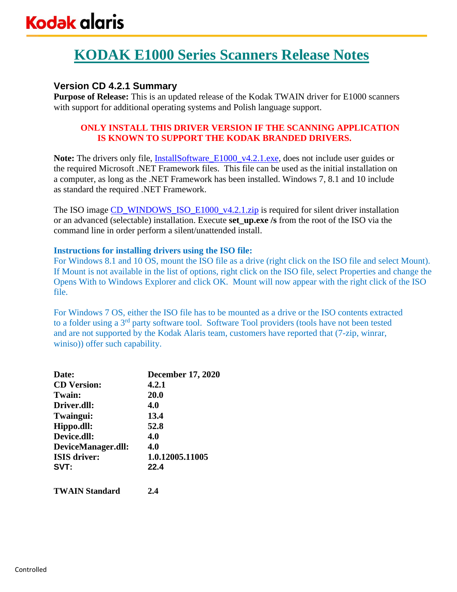# **KODAK E1000 Series Scanners Release Notes**

## **Version CD 4.2.1 Summary**

**Purpose of Release:** This is an updated release of the Kodak TWAIN driver for E1000 scanners with support for additional operating systems and Polish language support.

### **ONLY INSTALL THIS DRIVER VERSION IF THE SCANNING APPLICATION IS KNOWN TO SUPPORT THE KODAK BRANDED DRIVERS.**

Note: The drivers only file, **InstallSoftware** E1000 v4.2.1.exe, does not include user guides or the required Microsoft .NET Framework files. This file can be used as the initial installation on a computer, as long as the .NET Framework has been installed. Windows 7, 8.1 and 10 include as standard the required .NET Framework.

The ISO image [CD\\_WINDOWS\\_ISO\\_E1000\\_v4.2.1.zip](https://support.alarisworld.com/en-us/e1035-scanner#Software) is required for silent driver installation or an advanced (selectable) installation. Execute **set\_up.exe /s** from the root of the ISO via the command line in order perform a silent/unattended install.

### **Instructions for installing drivers using the ISO file:**

For Windows 8.1 and 10 OS, mount the ISO file as a drive (right click on the ISO file and select Mount). If Mount is not available in the list of options, right click on the ISO file, select Properties and change the Opens With to Windows Explorer and click OK. Mount will now appear with the right click of the ISO file.

For Windows 7 OS, either the ISO file has to be mounted as a drive or the ISO contents extracted to a folder using a 3<sup>rd</sup> party software tool. Software Tool providers (tools have not been tested and are not supported by the Kodak Alaris team, customers have reported that (7-zip, winrar, winiso)) offer such capability.

| Date:                 | <b>December 17, 2020</b> |
|-----------------------|--------------------------|
| <b>CD</b> Version:    | 4.2.1                    |
| <b>Twain:</b>         | 20.0                     |
| Driver.dll:           | 4.0                      |
| Twaingui:             | 13.4                     |
| Hippo.dll:            | 52.8                     |
| Device.dll:           | 4.0                      |
| DeviceManager.dll:    | 4.0                      |
| <b>ISIS</b> driver:   | 1.0.12005.11005          |
| SVT:                  | 22.4                     |
| <b>TWAIN Standard</b> | 2.4                      |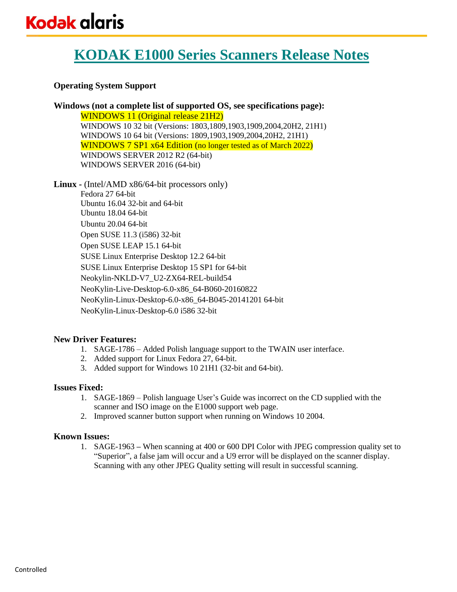# **KODAK E1000 Series Scanners Release Notes**

### **Operating System Support**

**Windows (not a complete list of supported OS, see specifications page):** WINDOWS 11 (Original release 21H2) WINDOWS 10 32 bit (Versions: 1803,1809,1903,1909,2004,20H2, 21H1) WINDOWS 10 64 bit (Versions: 1809,1903,1909,2004,20H2, 21H1) WINDOWS 7 SP1 x64 Edition (no longer tested as of March 2022) WINDOWS SERVER 2012 R2 (64-bit) WINDOWS SERVER 2016 (64-bit)

**Linux -** (Intel/AMD x86/64-bit processors only)

Fedora 27 64-bit Ubuntu 16.04 32-bit and 64-bit Ubuntu 18.04 64-bit Ubuntu 20.04 64-bit Open SUSE 11.3 (i586) 32-bit Open SUSE LEAP 15.1 64-bit SUSE Linux Enterprise Desktop 12.2 64-bit SUSE Linux Enterprise Desktop 15 SP1 for 64-bit Neokylin-NKLD-V7\_U2-ZX64-REL-build54 NeoKylin-Live-Desktop-6.0-x86\_64-B060-20160822 NeoKylin-Linux-Desktop-6.0-x86\_64-B045-20141201 64-bit NeoKylin-Linux-Desktop-6.0 i586 32-bit

### **New Driver Features:**

- 1. SAGE-1786 Added Polish language support to the TWAIN user interface.
- 2. Added support for Linux Fedora 27, 64-bit.
- 3. Added support for Windows 10 21H1 (32-bit and 64-bit).

### **Issues Fixed:**

- 1. SAGE-1869 Polish language User's Guide was incorrect on the CD supplied with the scanner and ISO image on the E1000 support web page.
- 2. Improved scanner button support when running on Windows 10 2004.

### **Known Issues:**

1. SAGE-1963 **–** When scanning at 400 or 600 DPI Color with JPEG compression quality set to "Superior", a false jam will occur and a U9 error will be displayed on the scanner display. Scanning with any other JPEG Quality setting will result in successful scanning.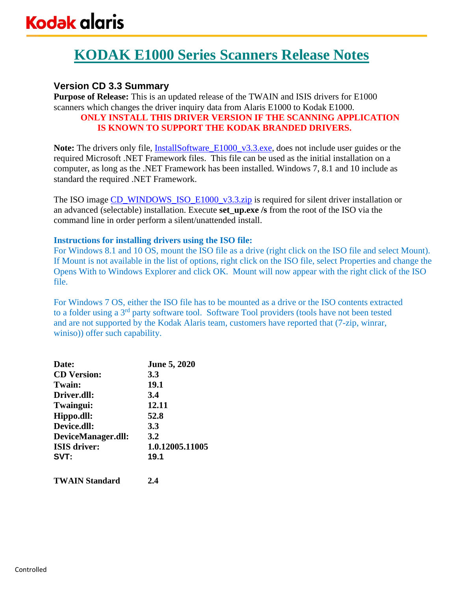# **KODAK E1000 Series Scanners Release Notes**

## **Version CD 3.3 Summary**

**Purpose of Release:** This is an updated release of the TWAIN and ISIS drivers for E1000 scanners which changes the driver inquiry data from Alaris E1000 to Kodak E1000. **ONLY INSTALL THIS DRIVER VERSION IF THE SCANNING APPLICATION** 

## **IS KNOWN TO SUPPORT THE KODAK BRANDED DRIVERS.**

**Note:** The drivers only file, [InstallSoftware\\_E1000\\_v3.3.exe,](https://support.alarisworld.com/en-us/e1035-scanner#Software) does not include user guides or the required Microsoft .NET Framework files. This file can be used as the initial installation on a computer, as long as the .NET Framework has been installed. Windows 7, 8.1 and 10 include as standard the required .NET Framework.

The ISO image [CD\\_WINDOWS\\_ISO\\_E1000\\_v3.3.zip](https://support.alarisworld.com/en-us/e1035-scanner#Software) is required for silent driver installation or an advanced (selectable) installation. Execute **set\_up.exe /s** from the root of the ISO via the command line in order perform a silent/unattended install.

### **Instructions for installing drivers using the ISO file:**

For Windows 8.1 and 10 OS, mount the ISO file as a drive (right click on the ISO file and select Mount). If Mount is not available in the list of options, right click on the ISO file, select Properties and change the Opens With to Windows Explorer and click OK. Mount will now appear with the right click of the ISO file.

For Windows 7 OS, either the ISO file has to be mounted as a drive or the ISO contents extracted to a folder using a 3rd party software tool. Software Tool providers (tools have not been tested and are not supported by the Kodak Alaris team, customers have reported that (7-zip, winrar, winiso)) offer such capability.

| Date:               | <b>June 5, 2020</b> |
|---------------------|---------------------|
| <b>CD</b> Version:  | 3.3                 |
| Twain:              | 19.1                |
| Driver.dll:         | 3.4                 |
| Twaingui:           | 12.11               |
| Hippo.dll:          | 52.8                |
| Device.dll:         | <b>3.3</b>          |
| DeviceManager.dll:  | 3.2                 |
| <b>ISIS</b> driver: | 1.0.12005.11005     |
| SVT:                | 19.1                |
|                     |                     |

**TWAIN Standard 2.4**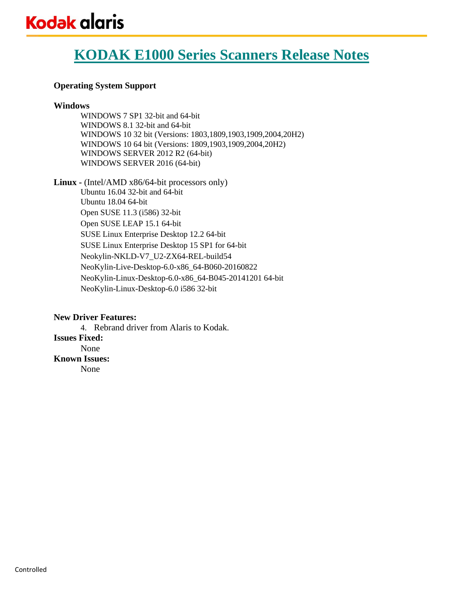# **KODAK E1000 Series Scanners Release Notes**

### **Operating System Support**

#### **Windows**

WINDOWS 7 SP1 32-bit and 64-bit WINDOWS 8.1 32-bit and 64-bit WINDOWS 10 32 bit (Versions: 1803,1809,1903,1909,2004,20H2) WINDOWS 10 64 bit (Versions: 1809,1903,1909,2004,20H2) WINDOWS SERVER 2012 R2 (64-bit) WINDOWS SERVER 2016 (64-bit)

**Linux -** (Intel/AMD x86/64-bit processors only)

Ubuntu 16.04 32-bit and 64-bit Ubuntu 18.04 64-bit Open SUSE 11.3 (i586) 32-bit Open SUSE LEAP 15.1 64-bit SUSE Linux Enterprise Desktop 12.2 64-bit SUSE Linux Enterprise Desktop 15 SP1 for 64-bit Neokylin-NKLD-V7\_U2-ZX64-REL-build54 NeoKylin-Live-Desktop-6.0-x86\_64-B060-20160822 NeoKylin-Linux-Desktop-6.0-x86\_64-B045-20141201 64-bit NeoKylin-Linux-Desktop-6.0 i586 32-bit

### **New Driver Features:**

4. Rebrand driver from Alaris to Kodak. **Issues Fixed:** None **Known Issues:**  None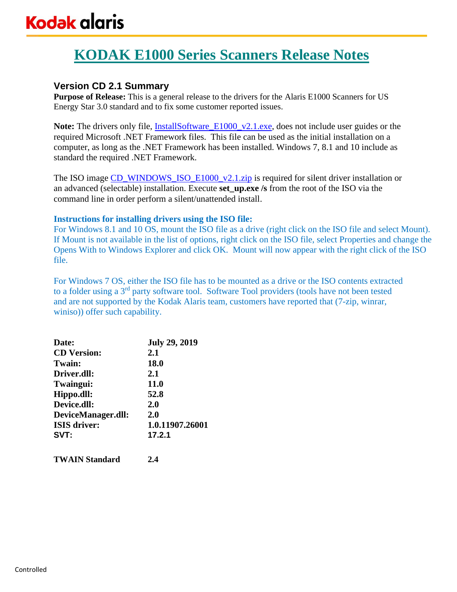# **KODAK E1000 Series Scanners Release Notes**

## **Version CD 2.1 Summary**

**Purpose of Release:** This is a general release to the drivers for the Alaris E1000 Scanners for US Energy Star 3.0 standard and to fix some customer reported issues.

**Note:** The drivers only file, InstallSoftware E1000 v2.1.exe, does not include user guides or the required Microsoft .NET Framework files. This file can be used as the initial installation on a computer, as long as the .NET Framework has been installed. Windows 7, 8.1 and 10 include as standard the required .NET Framework.

The ISO image [CD\\_WINDOWS\\_ISO\\_E1000\\_v2.1.zip](https://support.alarisworld.com/en-us/e1035-scanner#Software) is required for silent driver installation or an advanced (selectable) installation. Execute **set\_up.exe /s** from the root of the ISO via the command line in order perform a silent/unattended install.

### **Instructions for installing drivers using the ISO file:**

For Windows 8.1 and 10 OS, mount the ISO file as a drive (right click on the ISO file and select Mount). If Mount is not available in the list of options, right click on the ISO file, select Properties and change the Opens With to Windows Explorer and click OK. Mount will now appear with the right click of the ISO file.

For Windows 7 OS, either the ISO file has to be mounted as a drive or the ISO contents extracted to a folder using a 3rd party software tool. Software Tool providers (tools have not been tested and are not supported by the Kodak Alaris team, customers have reported that (7-zip, winrar, winiso)) offer such capability.

| Date:               | <b>July 29, 2019</b> |
|---------------------|----------------------|
| <b>CD</b> Version:  | 2.1                  |
| <b>Twain:</b>       | <b>18.0</b>          |
| Driver.dll:         | 2.1                  |
| Twaingui:           | 11.0                 |
| Hippo.dll:          | 52.8                 |
| Device.dll:         | 2.0                  |
| DeviceManager.dll:  | 2.0                  |
| <b>ISIS</b> driver: | 1.0.11907.26001      |
| SVT:                | 17.2.1               |
|                     |                      |

**TWAIN Standard 2.4**